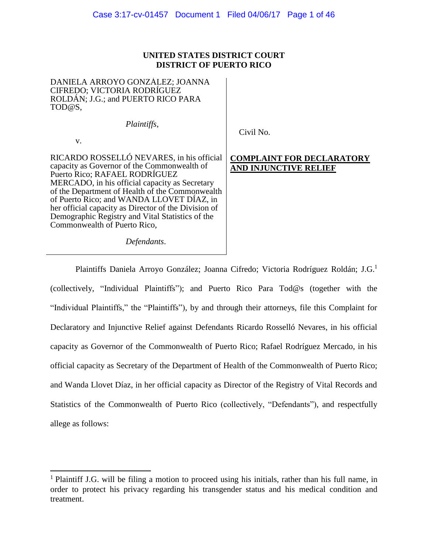# **UNITED STATES DISTRICT COURT DISTRICT OF PUERTO RICO**

DANIELA ARROYO GONZÁLEZ; JOANNA CIFREDO; VICTORIA RODRÍGUEZ ROLDÁN; J.G.; and PUERTO RICO PARA TOD@S,

v.

*Plaintiffs*,

Civil No.

#### RICARDO ROSSELLÓ NEVARES, in his official capacity as Governor of the Commonwealth of Puerto Rico; RAFAEL RODRÍGUEZ MERCADO, in his official capacity as Secretary of the Department of Health of the Commonwealth of Puerto Rico; and WANDA LLOVET DÍAZ, in her official capacity as Director of the Division of Demographic Registry and Vital Statistics of the Commonwealth of Puerto Rico,

**COMPLAINT FOR DECLARATORY AND INJUNCTIVE RELIEF**

*Defendants*.

Plaintiffs Daniela Arroyo González; Joanna Cifredo; Victoria Rodríguez Roldán; J.G.<sup>1</sup> (collectively, "Individual Plaintiffs"); and Puerto Rico Para Tod@s (together with the "Individual Plaintiffs," the "Plaintiffs"), by and through their attorneys, file this Complaint for Declaratory and Injunctive Relief against Defendants Ricardo Rosselló Nevares, in his official capacity as Governor of the Commonwealth of Puerto Rico; Rafael Rodríguez Mercado, in his official capacity as Secretary of the Department of Health of the Commonwealth of Puerto Rico; and Wanda Llovet Díaz, in her official capacity as Director of the Registry of Vital Records and Statistics of the Commonwealth of Puerto Rico (collectively, "Defendants"), and respectfully allege as follows:

 $\overline{\phantom{a}}$ <sup>1</sup> Plaintiff J.G. will be filing a motion to proceed using his initials, rather than his full name, in order to protect his privacy regarding his transgender status and his medical condition and treatment.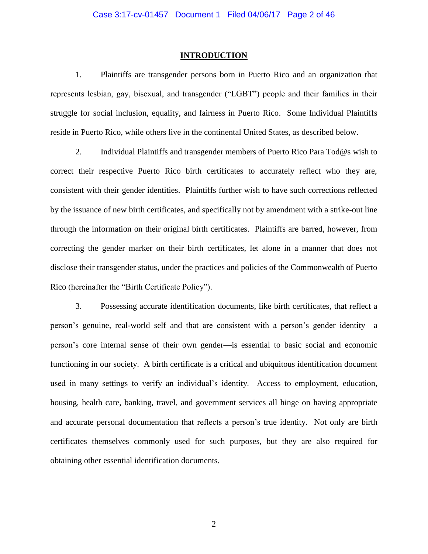#### **INTRODUCTION**

1. Plaintiffs are transgender persons born in Puerto Rico and an organization that represents lesbian, gay, bisexual, and transgender ("LGBT") people and their families in their struggle for social inclusion, equality, and fairness in Puerto Rico. Some Individual Plaintiffs reside in Puerto Rico, while others live in the continental United States, as described below.

2. Individual Plaintiffs and transgender members of Puerto Rico Para Tod@s wish to correct their respective Puerto Rico birth certificates to accurately reflect who they are, consistent with their gender identities. Plaintiffs further wish to have such corrections reflected by the issuance of new birth certificates, and specifically not by amendment with a strike-out line through the information on their original birth certificates. Plaintiffs are barred, however, from correcting the gender marker on their birth certificates, let alone in a manner that does not disclose their transgender status, under the practices and policies of the Commonwealth of Puerto Rico (hereinafter the "Birth Certificate Policy").

3. Possessing accurate identification documents, like birth certificates, that reflect a person's genuine, real-world self and that are consistent with a person's gender identity—a person's core internal sense of their own gender—is essential to basic social and economic functioning in our society. A birth certificate is a critical and ubiquitous identification document used in many settings to verify an individual's identity. Access to employment, education, housing, health care, banking, travel, and government services all hinge on having appropriate and accurate personal documentation that reflects a person's true identity. Not only are birth certificates themselves commonly used for such purposes, but they are also required for obtaining other essential identification documents.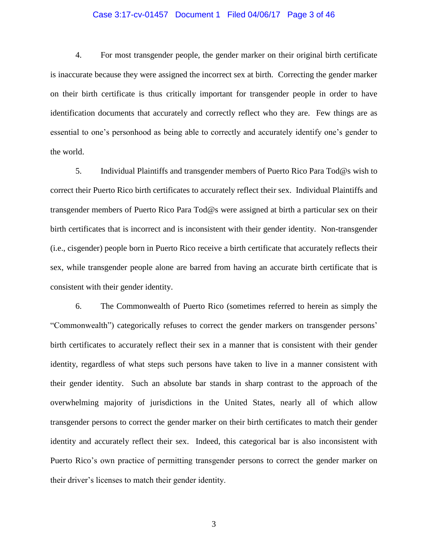#### Case 3:17-cv-01457 Document 1 Filed 04/06/17 Page 3 of 46

4. For most transgender people, the gender marker on their original birth certificate is inaccurate because they were assigned the incorrect sex at birth. Correcting the gender marker on their birth certificate is thus critically important for transgender people in order to have identification documents that accurately and correctly reflect who they are. Few things are as essential to one's personhood as being able to correctly and accurately identify one's gender to the world.

5. Individual Plaintiffs and transgender members of Puerto Rico Para Tod@s wish to correct their Puerto Rico birth certificates to accurately reflect their sex. Individual Plaintiffs and transgender members of Puerto Rico Para Tod@s were assigned at birth a particular sex on their birth certificates that is incorrect and is inconsistent with their gender identity. Non-transgender (i.e., cisgender) people born in Puerto Rico receive a birth certificate that accurately reflects their sex, while transgender people alone are barred from having an accurate birth certificate that is consistent with their gender identity.

6. The Commonwealth of Puerto Rico (sometimes referred to herein as simply the "Commonwealth") categorically refuses to correct the gender markers on transgender persons' birth certificates to accurately reflect their sex in a manner that is consistent with their gender identity, regardless of what steps such persons have taken to live in a manner consistent with their gender identity. Such an absolute bar stands in sharp contrast to the approach of the overwhelming majority of jurisdictions in the United States, nearly all of which allow transgender persons to correct the gender marker on their birth certificates to match their gender identity and accurately reflect their sex. Indeed, this categorical bar is also inconsistent with Puerto Rico's own practice of permitting transgender persons to correct the gender marker on their driver's licenses to match their gender identity.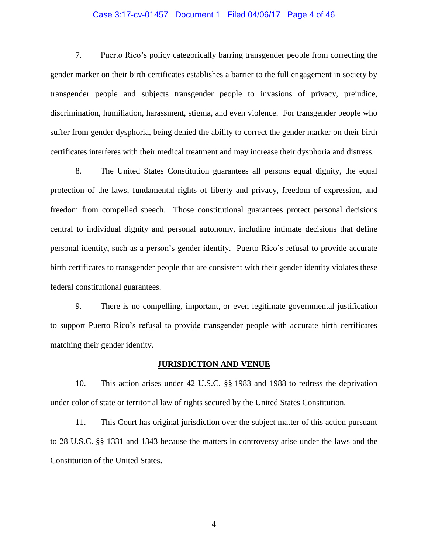### Case 3:17-cv-01457 Document 1 Filed 04/06/17 Page 4 of 46

7. Puerto Rico's policy categorically barring transgender people from correcting the gender marker on their birth certificates establishes a barrier to the full engagement in society by transgender people and subjects transgender people to invasions of privacy, prejudice, discrimination, humiliation, harassment, stigma, and even violence. For transgender people who suffer from gender dysphoria, being denied the ability to correct the gender marker on their birth certificates interferes with their medical treatment and may increase their dysphoria and distress.

8. The United States Constitution guarantees all persons equal dignity, the equal protection of the laws, fundamental rights of liberty and privacy, freedom of expression, and freedom from compelled speech. Those constitutional guarantees protect personal decisions central to individual dignity and personal autonomy, including intimate decisions that define personal identity, such as a person's gender identity. Puerto Rico's refusal to provide accurate birth certificates to transgender people that are consistent with their gender identity violates these federal constitutional guarantees.

9. There is no compelling, important, or even legitimate governmental justification to support Puerto Rico's refusal to provide transgender people with accurate birth certificates matching their gender identity.

#### **JURISDICTION AND VENUE**

10. This action arises under 42 U.S.C. §§ 1983 and 1988 to redress the deprivation under color of state or territorial law of rights secured by the United States Constitution.

11. This Court has original jurisdiction over the subject matter of this action pursuant to 28 U.S.C. §§ 1331 and 1343 because the matters in controversy arise under the laws and the Constitution of the United States.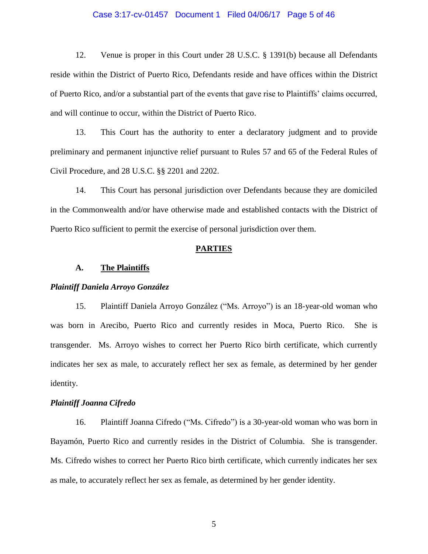#### Case 3:17-cv-01457 Document 1 Filed 04/06/17 Page 5 of 46

12. Venue is proper in this Court under 28 U.S.C. § 1391(b) because all Defendants reside within the District of Puerto Rico, Defendants reside and have offices within the District of Puerto Rico, and/or a substantial part of the events that gave rise to Plaintiffs' claims occurred, and will continue to occur, within the District of Puerto Rico.

13. This Court has the authority to enter a declaratory judgment and to provide preliminary and permanent injunctive relief pursuant to Rules 57 and 65 of the Federal Rules of Civil Procedure, and 28 U.S.C. §§ 2201 and 2202.

14. This Court has personal jurisdiction over Defendants because they are domiciled in the Commonwealth and/or have otherwise made and established contacts with the District of Puerto Rico sufficient to permit the exercise of personal jurisdiction over them.

#### **PARTIES**

#### **A. The Plaintiffs**

#### *Plaintiff Daniela Arroyo González*

15. Plaintiff Daniela Arroyo González ("Ms. Arroyo") is an 18-year-old woman who was born in Arecibo, Puerto Rico and currently resides in Moca, Puerto Rico. She is transgender. Ms. Arroyo wishes to correct her Puerto Rico birth certificate, which currently indicates her sex as male, to accurately reflect her sex as female, as determined by her gender identity.

#### *Plaintiff Joanna Cifredo*

16. Plaintiff Joanna Cifredo ("Ms. Cifredo") is a 30-year-old woman who was born in Bayamón, Puerto Rico and currently resides in the District of Columbia. She is transgender. Ms. Cifredo wishes to correct her Puerto Rico birth certificate, which currently indicates her sex as male, to accurately reflect her sex as female, as determined by her gender identity.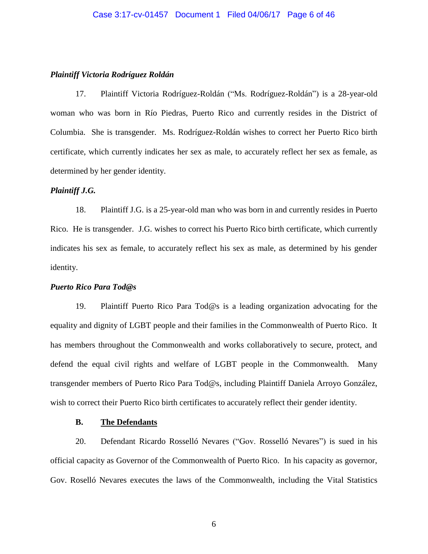### *Plaintiff Victoria Rodríguez Roldán*

17. Plaintiff Victoria Rodríguez-Roldán ("Ms. Rodríguez-Roldán") is a 28-year-old woman who was born in Río Piedras, Puerto Rico and currently resides in the District of Columbia. She is transgender. Ms. Rodríguez-Roldán wishes to correct her Puerto Rico birth certificate, which currently indicates her sex as male, to accurately reflect her sex as female, as determined by her gender identity.

## *Plaintiff J.G.*

18. Plaintiff J.G. is a 25-year-old man who was born in and currently resides in Puerto Rico. He is transgender. J.G. wishes to correct his Puerto Rico birth certificate, which currently indicates his sex as female, to accurately reflect his sex as male, as determined by his gender identity.

### *Puerto Rico Para Tod@s*

19. Plaintiff Puerto Rico Para Tod@s is a leading organization advocating for the equality and dignity of LGBT people and their families in the Commonwealth of Puerto Rico. It has members throughout the Commonwealth and works collaboratively to secure, protect, and defend the equal civil rights and welfare of LGBT people in the Commonwealth. Many transgender members of Puerto Rico Para Tod@s, including Plaintiff Daniela Arroyo González, wish to correct their Puerto Rico birth certificates to accurately reflect their gender identity.

### **B. The Defendants**

20. Defendant Ricardo Rosselló Nevares ("Gov. Rosselló Nevares") is sued in his official capacity as Governor of the Commonwealth of Puerto Rico. In his capacity as governor, Gov. Roselló Nevares executes the laws of the Commonwealth, including the Vital Statistics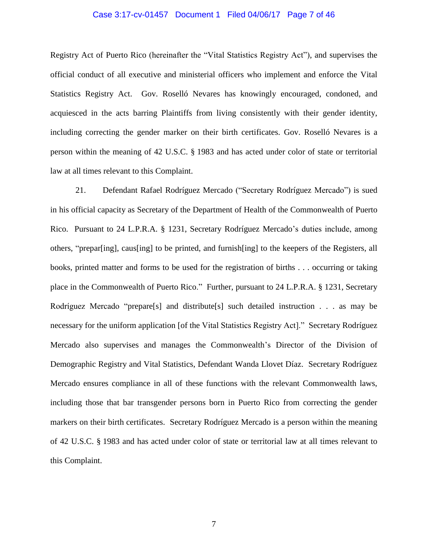#### Case 3:17-cv-01457 Document 1 Filed 04/06/17 Page 7 of 46

Registry Act of Puerto Rico (hereinafter the "Vital Statistics Registry Act"), and supervises the official conduct of all executive and ministerial officers who implement and enforce the Vital Statistics Registry Act. Gov. Roselló Nevares has knowingly encouraged, condoned, and acquiesced in the acts barring Plaintiffs from living consistently with their gender identity, including correcting the gender marker on their birth certificates. Gov. Roselló Nevares is a person within the meaning of 42 U.S.C. § 1983 and has acted under color of state or territorial law at all times relevant to this Complaint.

21. Defendant Rafael Rodríguez Mercado ("Secretary Rodríguez Mercado") is sued in his official capacity as Secretary of the Department of Health of the Commonwealth of Puerto Rico. Pursuant to 24 L.P.R.A. § 1231, Secretary Rodríguez Mercado's duties include, among others, "prepar[ing], caus[ing] to be printed, and furnish[ing] to the keepers of the Registers, all books, printed matter and forms to be used for the registration of births . . . occurring or taking place in the Commonwealth of Puerto Rico." Further, pursuant to 24 L.P.R.A. § 1231, Secretary Rodríguez Mercado "prepare[s] and distribute[s] such detailed instruction . . . as may be necessary for the uniform application [of the Vital Statistics Registry Act]." Secretary Rodríguez Mercado also supervises and manages the Commonwealth's Director of the Division of Demographic Registry and Vital Statistics, Defendant Wanda Llovet Díaz. Secretary Rodríguez Mercado ensures compliance in all of these functions with the relevant Commonwealth laws, including those that bar transgender persons born in Puerto Rico from correcting the gender markers on their birth certificates. Secretary Rodríguez Mercado is a person within the meaning of 42 U.S.C. § 1983 and has acted under color of state or territorial law at all times relevant to this Complaint.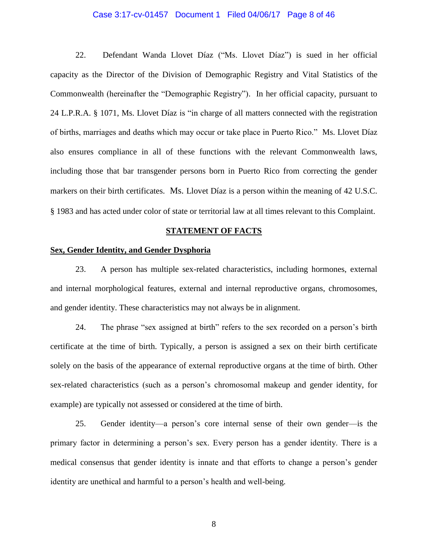#### Case 3:17-cv-01457 Document 1 Filed 04/06/17 Page 8 of 46

22. Defendant Wanda Llovet Díaz ("Ms. Llovet Díaz") is sued in her official capacity as the Director of the Division of Demographic Registry and Vital Statistics of the Commonwealth (hereinafter the "Demographic Registry"). In her official capacity, pursuant to 24 L.P.R.A. § 1071, Ms. Llovet Díaz is "in charge of all matters connected with the registration of births, marriages and deaths which may occur or take place in Puerto Rico." Ms. Llovet Díaz also ensures compliance in all of these functions with the relevant Commonwealth laws, including those that bar transgender persons born in Puerto Rico from correcting the gender markers on their birth certificates. Ms. Llovet Díaz is a person within the meaning of 42 U.S.C. § 1983 and has acted under color of state or territorial law at all times relevant to this Complaint.

### **STATEMENT OF FACTS**

# **Sex, Gender Identity, and Gender Dysphoria**

23. A person has multiple sex-related characteristics, including hormones, external and internal morphological features, external and internal reproductive organs, chromosomes, and gender identity. These characteristics may not always be in alignment.

24. The phrase "sex assigned at birth" refers to the sex recorded on a person's birth certificate at the time of birth. Typically, a person is assigned a sex on their birth certificate solely on the basis of the appearance of external reproductive organs at the time of birth. Other sex-related characteristics (such as a person's chromosomal makeup and gender identity, for example) are typically not assessed or considered at the time of birth.

25. Gender identity—a person's core internal sense of their own gender—is the primary factor in determining a person's sex. Every person has a gender identity. There is a medical consensus that gender identity is innate and that efforts to change a person's gender identity are unethical and harmful to a person's health and well-being.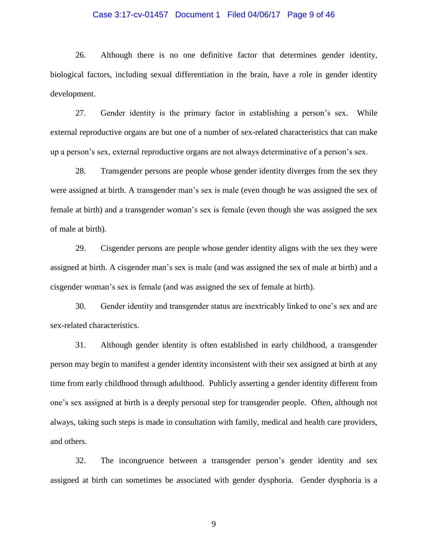#### Case 3:17-cv-01457 Document 1 Filed 04/06/17 Page 9 of 46

26. Although there is no one definitive factor that determines gender identity, biological factors, including sexual differentiation in the brain, have a role in gender identity development.

27. Gender identity is the primary factor in establishing a person's sex. While external reproductive organs are but one of a number of sex-related characteristics that can make up a person's sex, external reproductive organs are not always determinative of a person's sex.

28. Transgender persons are people whose gender identity diverges from the sex they were assigned at birth. A transgender man's sex is male (even though he was assigned the sex of female at birth) and a transgender woman's sex is female (even though she was assigned the sex of male at birth).

29. Cisgender persons are people whose gender identity aligns with the sex they were assigned at birth. A cisgender man's sex is male (and was assigned the sex of male at birth) and a cisgender woman's sex is female (and was assigned the sex of female at birth).

30. Gender identity and transgender status are inextricably linked to one's sex and are sex-related characteristics.

31. Although gender identity is often established in early childhood, a transgender person may begin to manifest a gender identity inconsistent with their sex assigned at birth at any time from early childhood through adulthood. Publicly asserting a gender identity different from one's sex assigned at birth is a deeply personal step for transgender people. Often, although not always, taking such steps is made in consultation with family, medical and health care providers, and others.

32. The incongruence between a transgender person's gender identity and sex assigned at birth can sometimes be associated with gender dysphoria. Gender dysphoria is a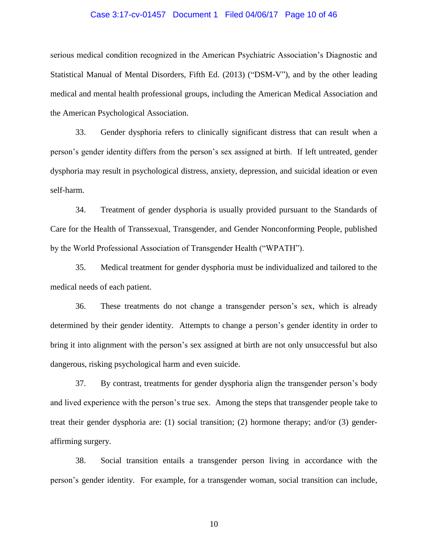#### Case 3:17-cv-01457 Document 1 Filed 04/06/17 Page 10 of 46

serious medical condition recognized in the American Psychiatric Association's Diagnostic and Statistical Manual of Mental Disorders, Fifth Ed. (2013) ("DSM-V"), and by the other leading medical and mental health professional groups, including the American Medical Association and the American Psychological Association.

33. Gender dysphoria refers to clinically significant distress that can result when a person's gender identity differs from the person's sex assigned at birth. If left untreated, gender dysphoria may result in psychological distress, anxiety, depression, and suicidal ideation or even self-harm.

34. Treatment of gender dysphoria is usually provided pursuant to the Standards of Care for the Health of Transsexual, Transgender, and Gender Nonconforming People, published by the World Professional Association of Transgender Health ("WPATH").

35. Medical treatment for gender dysphoria must be individualized and tailored to the medical needs of each patient.

36. These treatments do not change a transgender person's sex, which is already determined by their gender identity. Attempts to change a person's gender identity in order to bring it into alignment with the person's sex assigned at birth are not only unsuccessful but also dangerous, risking psychological harm and even suicide.

37. By contrast, treatments for gender dysphoria align the transgender person's body and lived experience with the person's true sex. Among the steps that transgender people take to treat their gender dysphoria are: (1) social transition; (2) hormone therapy; and/or (3) genderaffirming surgery.

38. Social transition entails a transgender person living in accordance with the person's gender identity. For example, for a transgender woman, social transition can include,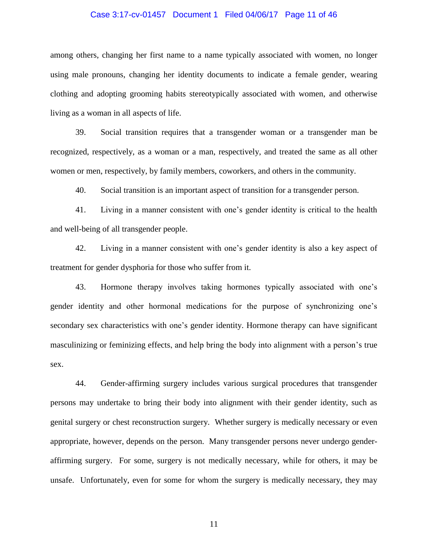#### Case 3:17-cv-01457 Document 1 Filed 04/06/17 Page 11 of 46

among others, changing her first name to a name typically associated with women, no longer using male pronouns, changing her identity documents to indicate a female gender, wearing clothing and adopting grooming habits stereotypically associated with women, and otherwise living as a woman in all aspects of life.

39. Social transition requires that a transgender woman or a transgender man be recognized, respectively, as a woman or a man, respectively, and treated the same as all other women or men, respectively, by family members, coworkers, and others in the community.

40. Social transition is an important aspect of transition for a transgender person.

41. Living in a manner consistent with one's gender identity is critical to the health and well-being of all transgender people.

42. Living in a manner consistent with one's gender identity is also a key aspect of treatment for gender dysphoria for those who suffer from it.

43. Hormone therapy involves taking hormones typically associated with one's gender identity and other hormonal medications for the purpose of synchronizing one's secondary sex characteristics with one's gender identity. Hormone therapy can have significant masculinizing or feminizing effects, and help bring the body into alignment with a person's true sex.

44. Gender-affirming surgery includes various surgical procedures that transgender persons may undertake to bring their body into alignment with their gender identity, such as genital surgery or chest reconstruction surgery. Whether surgery is medically necessary or even appropriate, however, depends on the person. Many transgender persons never undergo genderaffirming surgery. For some, surgery is not medically necessary, while for others, it may be unsafe. Unfortunately, even for some for whom the surgery is medically necessary, they may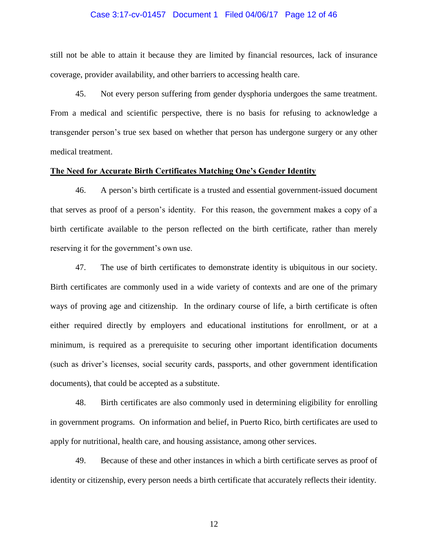#### Case 3:17-cv-01457 Document 1 Filed 04/06/17 Page 12 of 46

still not be able to attain it because they are limited by financial resources, lack of insurance coverage, provider availability, and other barriers to accessing health care.

45. Not every person suffering from gender dysphoria undergoes the same treatment. From a medical and scientific perspective, there is no basis for refusing to acknowledge a transgender person's true sex based on whether that person has undergone surgery or any other medical treatment.

### **The Need for Accurate Birth Certificates Matching One's Gender Identity**

46. A person's birth certificate is a trusted and essential government-issued document that serves as proof of a person's identity. For this reason, the government makes a copy of a birth certificate available to the person reflected on the birth certificate, rather than merely reserving it for the government's own use.

47. The use of birth certificates to demonstrate identity is ubiquitous in our society. Birth certificates are commonly used in a wide variety of contexts and are one of the primary ways of proving age and citizenship. In the ordinary course of life, a birth certificate is often either required directly by employers and educational institutions for enrollment, or at a minimum, is required as a prerequisite to securing other important identification documents (such as driver's licenses, social security cards, passports, and other government identification documents), that could be accepted as a substitute.

48. Birth certificates are also commonly used in determining eligibility for enrolling in government programs. On information and belief, in Puerto Rico, birth certificates are used to apply for nutritional, health care, and housing assistance, among other services.

49. Because of these and other instances in which a birth certificate serves as proof of identity or citizenship, every person needs a birth certificate that accurately reflects their identity.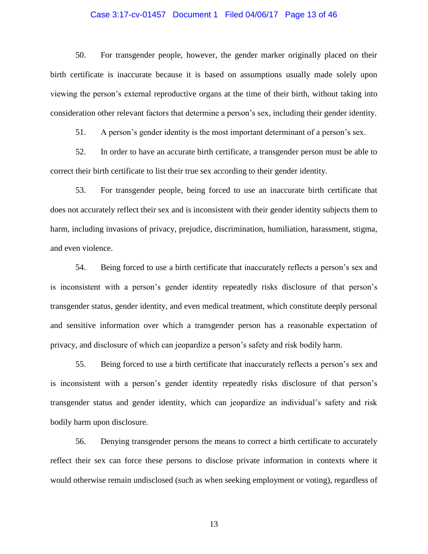### Case 3:17-cv-01457 Document 1 Filed 04/06/17 Page 13 of 46

50. For transgender people, however, the gender marker originally placed on their birth certificate is inaccurate because it is based on assumptions usually made solely upon viewing the person's external reproductive organs at the time of their birth, without taking into consideration other relevant factors that determine a person's sex, including their gender identity.

51. A person's gender identity is the most important determinant of a person's sex.

52. In order to have an accurate birth certificate, a transgender person must be able to correct their birth certificate to list their true sex according to their gender identity.

53. For transgender people, being forced to use an inaccurate birth certificate that does not accurately reflect their sex and is inconsistent with their gender identity subjects them to harm, including invasions of privacy, prejudice, discrimination, humiliation, harassment, stigma, and even violence.

54. Being forced to use a birth certificate that inaccurately reflects a person's sex and is inconsistent with a person's gender identity repeatedly risks disclosure of that person's transgender status, gender identity, and even medical treatment, which constitute deeply personal and sensitive information over which a transgender person has a reasonable expectation of privacy, and disclosure of which can jeopardize a person's safety and risk bodily harm.

55. Being forced to use a birth certificate that inaccurately reflects a person's sex and is inconsistent with a person's gender identity repeatedly risks disclosure of that person's transgender status and gender identity, which can jeopardize an individual's safety and risk bodily harm upon disclosure.

56. Denying transgender persons the means to correct a birth certificate to accurately reflect their sex can force these persons to disclose private information in contexts where it would otherwise remain undisclosed (such as when seeking employment or voting), regardless of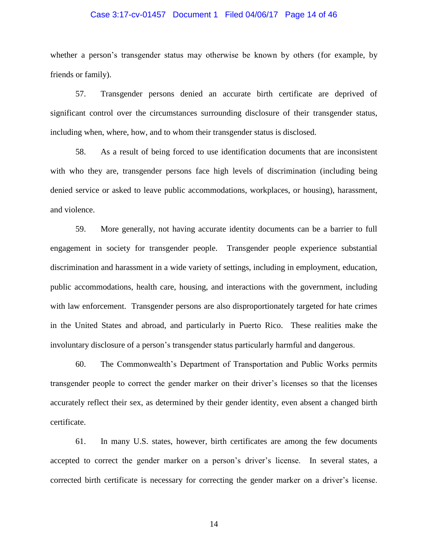#### Case 3:17-cv-01457 Document 1 Filed 04/06/17 Page 14 of 46

whether a person's transgender status may otherwise be known by others (for example, by friends or family).

57. Transgender persons denied an accurate birth certificate are deprived of significant control over the circumstances surrounding disclosure of their transgender status, including when, where, how, and to whom their transgender status is disclosed.

58. As a result of being forced to use identification documents that are inconsistent with who they are, transgender persons face high levels of discrimination (including being denied service or asked to leave public accommodations, workplaces, or housing), harassment, and violence.

59. More generally, not having accurate identity documents can be a barrier to full engagement in society for transgender people. Transgender people experience substantial discrimination and harassment in a wide variety of settings, including in employment, education, public accommodations, health care, housing, and interactions with the government, including with law enforcement. Transgender persons are also disproportionately targeted for hate crimes in the United States and abroad, and particularly in Puerto Rico. These realities make the involuntary disclosure of a person's transgender status particularly harmful and dangerous.

60. The Commonwealth's Department of Transportation and Public Works permits transgender people to correct the gender marker on their driver's licenses so that the licenses accurately reflect their sex, as determined by their gender identity, even absent a changed birth certificate.

61. In many U.S. states, however, birth certificates are among the few documents accepted to correct the gender marker on a person's driver's license. In several states, a corrected birth certificate is necessary for correcting the gender marker on a driver's license.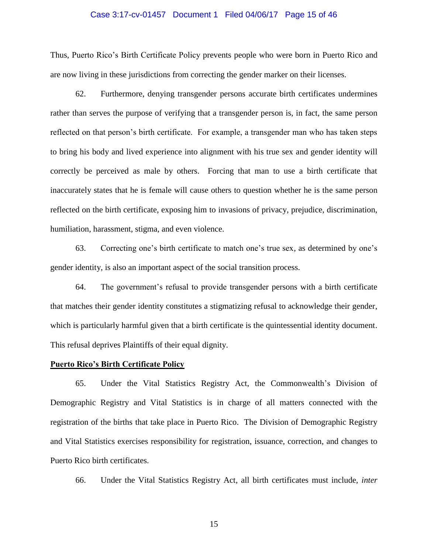#### Case 3:17-cv-01457 Document 1 Filed 04/06/17 Page 15 of 46

Thus, Puerto Rico's Birth Certificate Policy prevents people who were born in Puerto Rico and are now living in these jurisdictions from correcting the gender marker on their licenses.

62. Furthermore, denying transgender persons accurate birth certificates undermines rather than serves the purpose of verifying that a transgender person is, in fact, the same person reflected on that person's birth certificate. For example, a transgender man who has taken steps to bring his body and lived experience into alignment with his true sex and gender identity will correctly be perceived as male by others. Forcing that man to use a birth certificate that inaccurately states that he is female will cause others to question whether he is the same person reflected on the birth certificate, exposing him to invasions of privacy, prejudice, discrimination, humiliation, harassment, stigma, and even violence.

63. Correcting one's birth certificate to match one's true sex, as determined by one's gender identity, is also an important aspect of the social transition process.

64. The government's refusal to provide transgender persons with a birth certificate that matches their gender identity constitutes a stigmatizing refusal to acknowledge their gender, which is particularly harmful given that a birth certificate is the quintessential identity document. This refusal deprives Plaintiffs of their equal dignity.

#### **Puerto Rico's Birth Certificate Policy**

65. Under the Vital Statistics Registry Act, the Commonwealth's Division of Demographic Registry and Vital Statistics is in charge of all matters connected with the registration of the births that take place in Puerto Rico. The Division of Demographic Registry and Vital Statistics exercises responsibility for registration, issuance, correction, and changes to Puerto Rico birth certificates.

66. Under the Vital Statistics Registry Act, all birth certificates must include, *inter*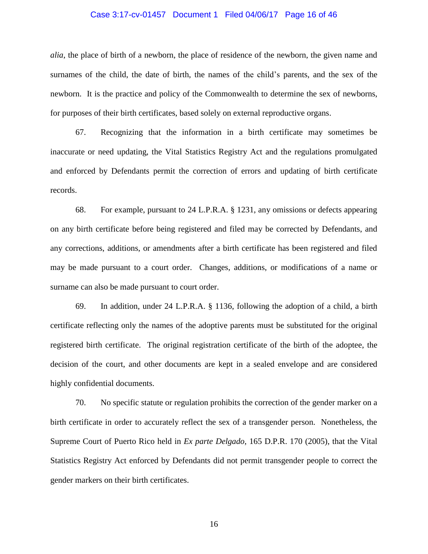#### Case 3:17-cv-01457 Document 1 Filed 04/06/17 Page 16 of 46

*alia*, the place of birth of a newborn, the place of residence of the newborn, the given name and surnames of the child, the date of birth, the names of the child's parents, and the sex of the newborn. It is the practice and policy of the Commonwealth to determine the sex of newborns, for purposes of their birth certificates, based solely on external reproductive organs.

67. Recognizing that the information in a birth certificate may sometimes be inaccurate or need updating, the Vital Statistics Registry Act and the regulations promulgated and enforced by Defendants permit the correction of errors and updating of birth certificate records.

68. For example, pursuant to 24 L.P.R.A. § 1231, any omissions or defects appearing on any birth certificate before being registered and filed may be corrected by Defendants, and any corrections, additions, or amendments after a birth certificate has been registered and filed may be made pursuant to a court order. Changes, additions, or modifications of a name or surname can also be made pursuant to court order.

69. In addition, under 24 L.P.R.A. § 1136, following the adoption of a child, a birth certificate reflecting only the names of the adoptive parents must be substituted for the original registered birth certificate. The original registration certificate of the birth of the adoptee, the decision of the court, and other documents are kept in a sealed envelope and are considered highly confidential documents.

70. No specific statute or regulation prohibits the correction of the gender marker on a birth certificate in order to accurately reflect the sex of a transgender person. Nonetheless, the Supreme Court of Puerto Rico held in *Ex parte Delgado*, 165 D.P.R. 170 (2005), that the Vital Statistics Registry Act enforced by Defendants did not permit transgender people to correct the gender markers on their birth certificates.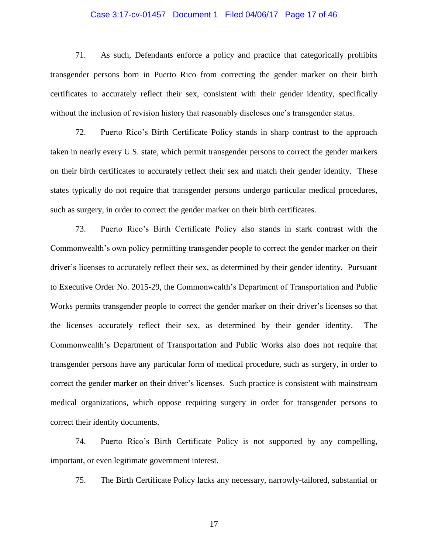### Case 3:17-cv-01457 Document 1 Filed 04/06/17 Page 17 of 46

71. As such, Defendants enforce a policy and practice that categorically prohibits transgender persons born in Puerto Rico from correcting the gender marker on their birth certificates to accurately reflect their sex, consistent with their gender identity, specifically without the inclusion of revision history that reasonably discloses one's transgender status.

72. Puerto Rico's Birth Certificate Policy stands in sharp contrast to the approach taken in nearly every U.S. state, which permit transgender persons to correct the gender markers on their birth certificates to accurately reflect their sex and match their gender identity. These states typically do not require that transgender persons undergo particular medical procedures, such as surgery, in order to correct the gender marker on their birth certificates.

73. Puerto Rico's Birth Certificate Policy also stands in stark contrast with the Commonwealth's own policy permitting transgender people to correct the gender marker on their driver's licenses to accurately reflect their sex, as determined by their gender identity. Pursuant to Executive Order No. 2015-29, the Commonwealth's Department of Transportation and Public Works permits transgender people to correct the gender marker on their driver's licenses so that the licenses accurately reflect their sex, as determined by their gender identity. The Commonwealth's Department of Transportation and Public Works also does not require that transgender persons have any particular form of medical procedure, such as surgery, in order to correct the gender marker on their driver's licenses. Such practice is consistent with mainstream medical organizations, which oppose requiring surgery in order for transgender persons to correct their identity documents.

74. Puerto Rico's Birth Certificate Policy is not supported by any compelling, important, or even legitimate government interest.

75. The Birth Certificate Policy lacks any necessary, narrowly-tailored, substantial or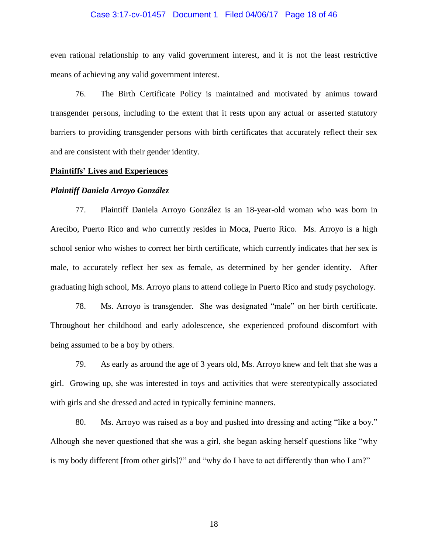#### Case 3:17-cv-01457 Document 1 Filed 04/06/17 Page 18 of 46

even rational relationship to any valid government interest, and it is not the least restrictive means of achieving any valid government interest.

76. The Birth Certificate Policy is maintained and motivated by animus toward transgender persons, including to the extent that it rests upon any actual or asserted statutory barriers to providing transgender persons with birth certificates that accurately reflect their sex and are consistent with their gender identity.

### **Plaintiffs' Lives and Experiences**

#### *Plaintiff Daniela Arroyo González*

77. Plaintiff Daniela Arroyo González is an 18-year-old woman who was born in Arecibo, Puerto Rico and who currently resides in Moca, Puerto Rico. Ms. Arroyo is a high school senior who wishes to correct her birth certificate, which currently indicates that her sex is male, to accurately reflect her sex as female, as determined by her gender identity. After graduating high school, Ms. Arroyo plans to attend college in Puerto Rico and study psychology.

78. Ms. Arroyo is transgender. She was designated "male" on her birth certificate. Throughout her childhood and early adolescence, she experienced profound discomfort with being assumed to be a boy by others.

79. As early as around the age of 3 years old, Ms. Arroyo knew and felt that she was a girl. Growing up, she was interested in toys and activities that were stereotypically associated with girls and she dressed and acted in typically feminine manners.

80. Ms. Arroyo was raised as a boy and pushed into dressing and acting "like a boy." Alhough she never questioned that she was a girl, she began asking herself questions like "why is my body different [from other girls]?" and "why do I have to act differently than who I am?"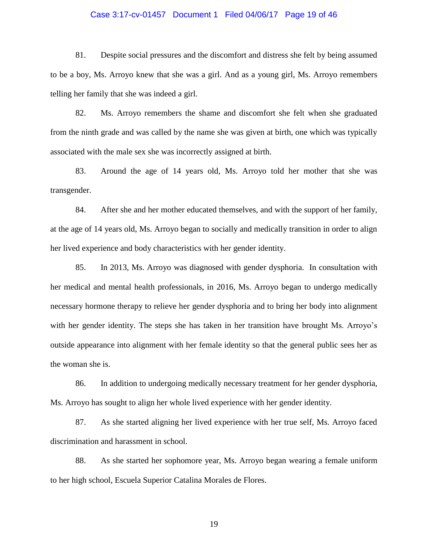### Case 3:17-cv-01457 Document 1 Filed 04/06/17 Page 19 of 46

81. Despite social pressures and the discomfort and distress she felt by being assumed to be a boy, Ms. Arroyo knew that she was a girl. And as a young girl, Ms. Arroyo remembers telling her family that she was indeed a girl.

82. Ms. Arroyo remembers the shame and discomfort she felt when she graduated from the ninth grade and was called by the name she was given at birth, one which was typically associated with the male sex she was incorrectly assigned at birth.

83. Around the age of 14 years old, Ms. Arroyo told her mother that she was transgender.

84. After she and her mother educated themselves, and with the support of her family, at the age of 14 years old, Ms. Arroyo began to socially and medically transition in order to align her lived experience and body characteristics with her gender identity.

85. In 2013, Ms. Arroyo was diagnosed with gender dysphoria. In consultation with her medical and mental health professionals, in 2016, Ms. Arroyo began to undergo medically necessary hormone therapy to relieve her gender dysphoria and to bring her body into alignment with her gender identity. The steps she has taken in her transition have brought Ms. Arroyo's outside appearance into alignment with her female identity so that the general public sees her as the woman she is.

86. In addition to undergoing medically necessary treatment for her gender dysphoria, Ms. Arroyo has sought to align her whole lived experience with her gender identity.

87. As she started aligning her lived experience with her true self, Ms. Arroyo faced discrimination and harassment in school.

88. As she started her sophomore year, Ms. Arroyo began wearing a female uniform to her high school, Escuela Superior Catalina Morales de Flores.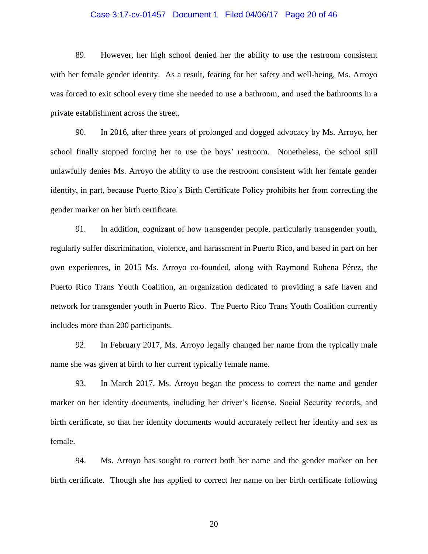### Case 3:17-cv-01457 Document 1 Filed 04/06/17 Page 20 of 46

89. However, her high school denied her the ability to use the restroom consistent with her female gender identity. As a result, fearing for her safety and well-being, Ms. Arroyo was forced to exit school every time she needed to use a bathroom, and used the bathrooms in a private establishment across the street.

90. In 2016, after three years of prolonged and dogged advocacy by Ms. Arroyo, her school finally stopped forcing her to use the boys' restroom. Nonetheless, the school still unlawfully denies Ms. Arroyo the ability to use the restroom consistent with her female gender identity, in part, because Puerto Rico's Birth Certificate Policy prohibits her from correcting the gender marker on her birth certificate.

91. In addition, cognizant of how transgender people, particularly transgender youth, regularly suffer discrimination, violence, and harassment in Puerto Rico, and based in part on her own experiences, in 2015 Ms. Arroyo co-founded, along with Raymond Rohena Pérez, the Puerto Rico Trans Youth Coalition, an organization dedicated to providing a safe haven and network for transgender youth in Puerto Rico. The Puerto Rico Trans Youth Coalition currently includes more than 200 participants.

92. In February 2017, Ms. Arroyo legally changed her name from the typically male name she was given at birth to her current typically female name.

93. In March 2017, Ms. Arroyo began the process to correct the name and gender marker on her identity documents, including her driver's license, Social Security records, and birth certificate, so that her identity documents would accurately reflect her identity and sex as female.

94. Ms. Arroyo has sought to correct both her name and the gender marker on her birth certificate. Though she has applied to correct her name on her birth certificate following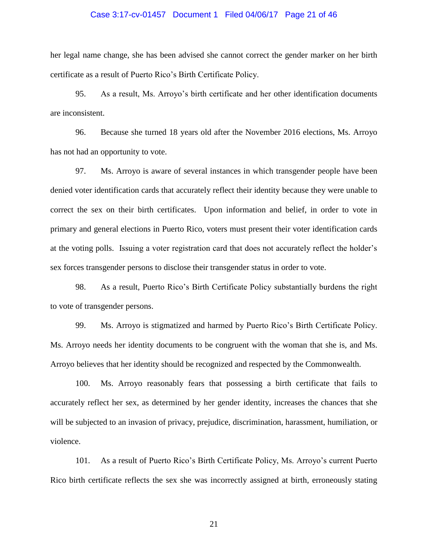#### Case 3:17-cv-01457 Document 1 Filed 04/06/17 Page 21 of 46

her legal name change, she has been advised she cannot correct the gender marker on her birth certificate as a result of Puerto Rico's Birth Certificate Policy.

95. As a result, Ms. Arroyo's birth certificate and her other identification documents are inconsistent.

96. Because she turned 18 years old after the November 2016 elections, Ms. Arroyo has not had an opportunity to vote.

97. Ms. Arroyo is aware of several instances in which transgender people have been denied voter identification cards that accurately reflect their identity because they were unable to correct the sex on their birth certificates. Upon information and belief, in order to vote in primary and general elections in Puerto Rico, voters must present their voter identification cards at the voting polls. Issuing a voter registration card that does not accurately reflect the holder's sex forces transgender persons to disclose their transgender status in order to vote.

98. As a result, Puerto Rico's Birth Certificate Policy substantially burdens the right to vote of transgender persons.

99. Ms. Arroyo is stigmatized and harmed by Puerto Rico's Birth Certificate Policy. Ms. Arroyo needs her identity documents to be congruent with the woman that she is, and Ms. Arroyo believes that her identity should be recognized and respected by the Commonwealth.

100. Ms. Arroyo reasonably fears that possessing a birth certificate that fails to accurately reflect her sex, as determined by her gender identity, increases the chances that she will be subjected to an invasion of privacy, prejudice, discrimination, harassment, humiliation, or violence.

101. As a result of Puerto Rico's Birth Certificate Policy, Ms. Arroyo's current Puerto Rico birth certificate reflects the sex she was incorrectly assigned at birth, erroneously stating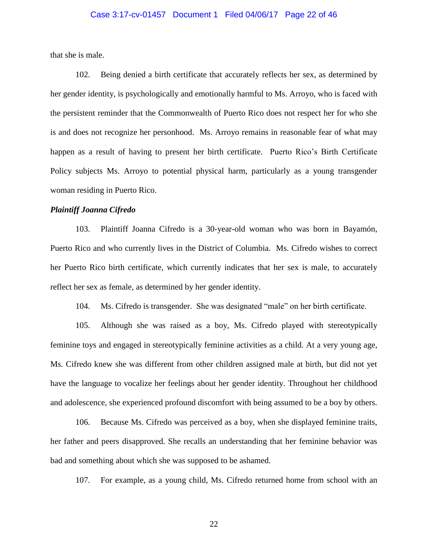#### Case 3:17-cv-01457 Document 1 Filed 04/06/17 Page 22 of 46

that she is male.

102. Being denied a birth certificate that accurately reflects her sex, as determined by her gender identity, is psychologically and emotionally harmful to Ms. Arroyo, who is faced with the persistent reminder that the Commonwealth of Puerto Rico does not respect her for who she is and does not recognize her personhood. Ms. Arroyo remains in reasonable fear of what may happen as a result of having to present her birth certificate. Puerto Rico's Birth Certificate Policy subjects Ms. Arroyo to potential physical harm, particularly as a young transgender woman residing in Puerto Rico.

#### *Plaintiff Joanna Cifredo*

103. Plaintiff Joanna Cifredo is a 30-year-old woman who was born in Bayamón, Puerto Rico and who currently lives in the District of Columbia. Ms. Cifredo wishes to correct her Puerto Rico birth certificate, which currently indicates that her sex is male, to accurately reflect her sex as female, as determined by her gender identity.

104. Ms. Cifredo is transgender. She was designated "male" on her birth certificate.

105. Although she was raised as a boy, Ms. Cifredo played with stereotypically feminine toys and engaged in stereotypically feminine activities as a child. At a very young age, Ms. Cifredo knew she was different from other children assigned male at birth, but did not yet have the language to vocalize her feelings about her gender identity. Throughout her childhood and adolescence, she experienced profound discomfort with being assumed to be a boy by others.

106. Because Ms. Cifredo was perceived as a boy, when she displayed feminine traits, her father and peers disapproved. She recalls an understanding that her feminine behavior was bad and something about which she was supposed to be ashamed.

107. For example, as a young child, Ms. Cifredo returned home from school with an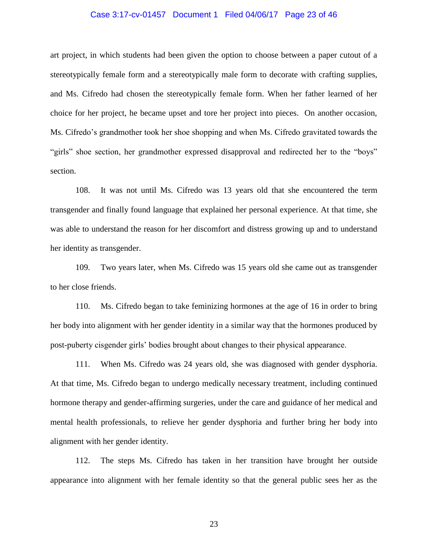#### Case 3:17-cv-01457 Document 1 Filed 04/06/17 Page 23 of 46

art project, in which students had been given the option to choose between a paper cutout of a stereotypically female form and a stereotypically male form to decorate with crafting supplies, and Ms. Cifredo had chosen the stereotypically female form. When her father learned of her choice for her project, he became upset and tore her project into pieces. On another occasion, Ms. Cifredo's grandmother took her shoe shopping and when Ms. Cifredo gravitated towards the "girls" shoe section, her grandmother expressed disapproval and redirected her to the "boys" section.

108. It was not until Ms. Cifredo was 13 years old that she encountered the term transgender and finally found language that explained her personal experience. At that time, she was able to understand the reason for her discomfort and distress growing up and to understand her identity as transgender.

109. Two years later, when Ms. Cifredo was 15 years old she came out as transgender to her close friends.

110. Ms. Cifredo began to take feminizing hormones at the age of 16 in order to bring her body into alignment with her gender identity in a similar way that the hormones produced by post-puberty cisgender girls' bodies brought about changes to their physical appearance.

111. When Ms. Cifredo was 24 years old, she was diagnosed with gender dysphoria. At that time, Ms. Cifredo began to undergo medically necessary treatment, including continued hormone therapy and gender-affirming surgeries, under the care and guidance of her medical and mental health professionals, to relieve her gender dysphoria and further bring her body into alignment with her gender identity.

112. The steps Ms. Cifredo has taken in her transition have brought her outside appearance into alignment with her female identity so that the general public sees her as the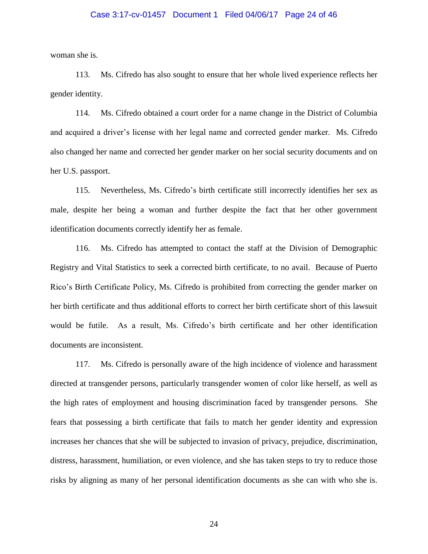#### Case 3:17-cv-01457 Document 1 Filed 04/06/17 Page 24 of 46

woman she is.

113. Ms. Cifredo has also sought to ensure that her whole lived experience reflects her gender identity.

114. Ms. Cifredo obtained a court order for a name change in the District of Columbia and acquired a driver's license with her legal name and corrected gender marker. Ms. Cifredo also changed her name and corrected her gender marker on her social security documents and on her U.S. passport.

115. Nevertheless, Ms. Cifredo's birth certificate still incorrectly identifies her sex as male, despite her being a woman and further despite the fact that her other government identification documents correctly identify her as female.

116. Ms. Cifredo has attempted to contact the staff at the Division of Demographic Registry and Vital Statistics to seek a corrected birth certificate, to no avail. Because of Puerto Rico's Birth Certificate Policy, Ms. Cifredo is prohibited from correcting the gender marker on her birth certificate and thus additional efforts to correct her birth certificate short of this lawsuit would be futile. As a result, Ms. Cifredo's birth certificate and her other identification documents are inconsistent.

117. Ms. Cifredo is personally aware of the high incidence of violence and harassment directed at transgender persons, particularly transgender women of color like herself, as well as the high rates of employment and housing discrimination faced by transgender persons. She fears that possessing a birth certificate that fails to match her gender identity and expression increases her chances that she will be subjected to invasion of privacy, prejudice, discrimination, distress, harassment, humiliation, or even violence, and she has taken steps to try to reduce those risks by aligning as many of her personal identification documents as she can with who she is.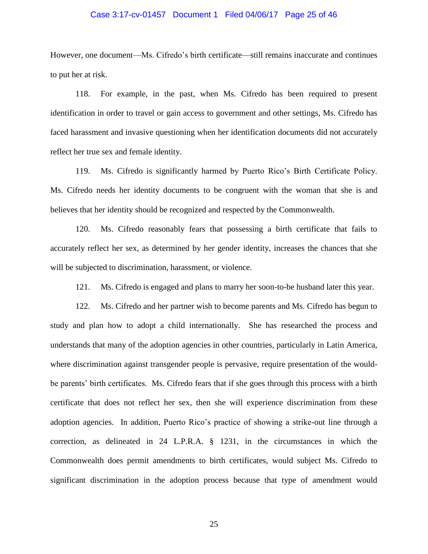#### Case 3:17-cv-01457 Document 1 Filed 04/06/17 Page 25 of 46

However, one document—Ms. Cifredo's birth certificate—still remains inaccurate and continues to put her at risk.

118. For example, in the past, when Ms. Cifredo has been required to present identification in order to travel or gain access to government and other settings, Ms. Cifredo has faced harassment and invasive questioning when her identification documents did not accurately reflect her true sex and female identity.

119. Ms. Cifredo is significantly harmed by Puerto Rico's Birth Certificate Policy. Ms. Cifredo needs her identity documents to be congruent with the woman that she is and believes that her identity should be recognized and respected by the Commonwealth.

120. Ms. Cifredo reasonably fears that possessing a birth certificate that fails to accurately reflect her sex, as determined by her gender identity, increases the chances that she will be subjected to discrimination, harassment, or violence.

121. Ms. Cifredo is engaged and plans to marry her soon-to-be husband later this year.

122. Ms. Cifredo and her partner wish to become parents and Ms. Cifredo has begun to study and plan how to adopt a child internationally. She has researched the process and understands that many of the adoption agencies in other countries, particularly in Latin America, where discrimination against transgender people is pervasive, require presentation of the wouldbe parents' birth certificates. Ms. Cifredo fears that if she goes through this process with a birth certificate that does not reflect her sex, then she will experience discrimination from these adoption agencies. In addition, Puerto Rico's practice of showing a strike-out line through a correction, as delineated in 24 L.P.R.A. § 1231, in the circumstances in which the Commonwealth does permit amendments to birth certificates, would subject Ms. Cifredo to significant discrimination in the adoption process because that type of amendment would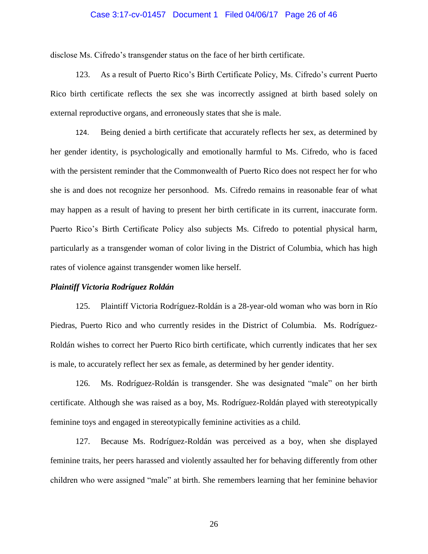#### Case 3:17-cv-01457 Document 1 Filed 04/06/17 Page 26 of 46

disclose Ms. Cifredo's transgender status on the face of her birth certificate.

123. As a result of Puerto Rico's Birth Certificate Policy, Ms. Cifredo's current Puerto Rico birth certificate reflects the sex she was incorrectly assigned at birth based solely on external reproductive organs, and erroneously states that she is male.

124. Being denied a birth certificate that accurately reflects her sex, as determined by her gender identity, is psychologically and emotionally harmful to Ms. Cifredo, who is faced with the persistent reminder that the Commonwealth of Puerto Rico does not respect her for who she is and does not recognize her personhood. Ms. Cifredo remains in reasonable fear of what may happen as a result of having to present her birth certificate in its current, inaccurate form. Puerto Rico's Birth Certificate Policy also subjects Ms. Cifredo to potential physical harm, particularly as a transgender woman of color living in the District of Columbia, which has high rates of violence against transgender women like herself.

#### *Plaintiff Victoria Rodríguez Roldán*

125. Plaintiff Victoria Rodríguez-Roldán is a 28-year-old woman who was born in Río Piedras, Puerto Rico and who currently resides in the District of Columbia. Ms. Rodríguez-Roldán wishes to correct her Puerto Rico birth certificate, which currently indicates that her sex is male, to accurately reflect her sex as female, as determined by her gender identity.

126. Ms. Rodríguez-Roldán is transgender. She was designated "male" on her birth certificate. Although she was raised as a boy, Ms. Rodríguez-Roldán played with stereotypically feminine toys and engaged in stereotypically feminine activities as a child.

127. Because Ms. Rodríguez-Roldán was perceived as a boy, when she displayed feminine traits, her peers harassed and violently assaulted her for behaving differently from other children who were assigned "male" at birth. She remembers learning that her feminine behavior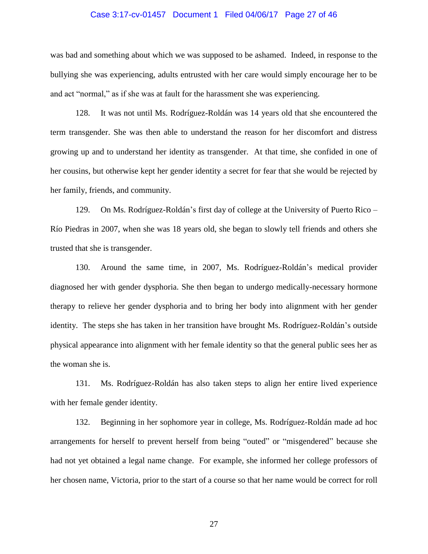#### Case 3:17-cv-01457 Document 1 Filed 04/06/17 Page 27 of 46

was bad and something about which we was supposed to be ashamed. Indeed, in response to the bullying she was experiencing, adults entrusted with her care would simply encourage her to be and act "normal," as if she was at fault for the harassment she was experiencing.

128. It was not until Ms. Rodríguez-Roldán was 14 years old that she encountered the term transgender. She was then able to understand the reason for her discomfort and distress growing up and to understand her identity as transgender. At that time, she confided in one of her cousins, but otherwise kept her gender identity a secret for fear that she would be rejected by her family, friends, and community.

129. On Ms. Rodríguez-Roldán's first day of college at the University of Puerto Rico – Río Piedras in 2007, when she was 18 years old, she began to slowly tell friends and others she trusted that she is transgender.

130. Around the same time, in 2007, Ms. Rodríguez-Roldán's medical provider diagnosed her with gender dysphoria. She then began to undergo medically-necessary hormone therapy to relieve her gender dysphoria and to bring her body into alignment with her gender identity. The steps she has taken in her transition have brought Ms. Rodríguez-Roldán's outside physical appearance into alignment with her female identity so that the general public sees her as the woman she is.

131. Ms. Rodríguez-Roldán has also taken steps to align her entire lived experience with her female gender identity.

132. Beginning in her sophomore year in college, Ms. Rodríguez-Roldán made ad hoc arrangements for herself to prevent herself from being "outed" or "misgendered" because she had not yet obtained a legal name change. For example, she informed her college professors of her chosen name, Victoria, prior to the start of a course so that her name would be correct for roll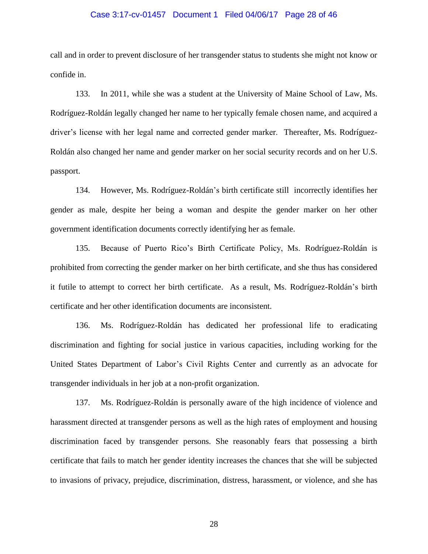#### Case 3:17-cv-01457 Document 1 Filed 04/06/17 Page 28 of 46

call and in order to prevent disclosure of her transgender status to students she might not know or confide in.

133. In 2011, while she was a student at the University of Maine School of Law, Ms. Rodríguez-Roldán legally changed her name to her typically female chosen name, and acquired a driver's license with her legal name and corrected gender marker. Thereafter, Ms. Rodríguez-Roldán also changed her name and gender marker on her social security records and on her U.S. passport.

134. However, Ms. Rodríguez-Roldán's birth certificate still incorrectly identifies her gender as male, despite her being a woman and despite the gender marker on her other government identification documents correctly identifying her as female.

135. Because of Puerto Rico's Birth Certificate Policy, Ms. Rodríguez-Roldán is prohibited from correcting the gender marker on her birth certificate, and she thus has considered it futile to attempt to correct her birth certificate. As a result, Ms. Rodríguez-Roldán's birth certificate and her other identification documents are inconsistent.

136. Ms. Rodríguez-Roldán has dedicated her professional life to eradicating discrimination and fighting for social justice in various capacities, including working for the United States Department of Labor's Civil Rights Center and currently as an advocate for transgender individuals in her job at a non-profit organization.

137. Ms. Rodríguez-Roldán is personally aware of the high incidence of violence and harassment directed at transgender persons as well as the high rates of employment and housing discrimination faced by transgender persons. She reasonably fears that possessing a birth certificate that fails to match her gender identity increases the chances that she will be subjected to invasions of privacy, prejudice, discrimination, distress, harassment, or violence, and she has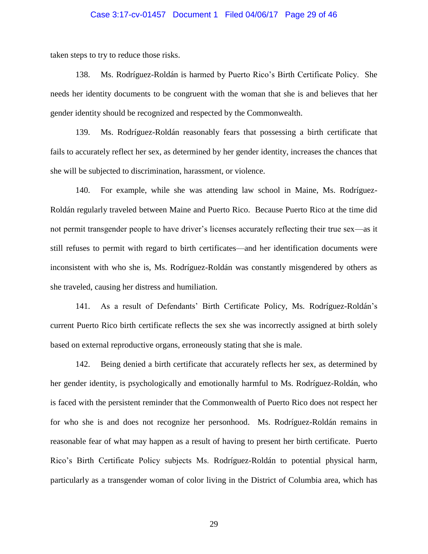#### Case 3:17-cv-01457 Document 1 Filed 04/06/17 Page 29 of 46

taken steps to try to reduce those risks.

138. Ms. Rodríguez-Roldán is harmed by Puerto Rico's Birth Certificate Policy. She needs her identity documents to be congruent with the woman that she is and believes that her gender identity should be recognized and respected by the Commonwealth.

139. Ms. Rodríguez-Roldán reasonably fears that possessing a birth certificate that fails to accurately reflect her sex, as determined by her gender identity, increases the chances that she will be subjected to discrimination, harassment, or violence.

140. For example, while she was attending law school in Maine, Ms. Rodríguez-Roldán regularly traveled between Maine and Puerto Rico. Because Puerto Rico at the time did not permit transgender people to have driver's licenses accurately reflecting their true sex—as it still refuses to permit with regard to birth certificates—and her identification documents were inconsistent with who she is, Ms. Rodríguez-Roldán was constantly misgendered by others as she traveled, causing her distress and humiliation.

141. As a result of Defendants' Birth Certificate Policy, Ms. Rodríguez-Roldán's current Puerto Rico birth certificate reflects the sex she was incorrectly assigned at birth solely based on external reproductive organs, erroneously stating that she is male.

142. Being denied a birth certificate that accurately reflects her sex, as determined by her gender identity, is psychologically and emotionally harmful to Ms. Rodríguez-Roldán, who is faced with the persistent reminder that the Commonwealth of Puerto Rico does not respect her for who she is and does not recognize her personhood. Ms. Rodríguez-Roldán remains in reasonable fear of what may happen as a result of having to present her birth certificate. Puerto Rico's Birth Certificate Policy subjects Ms. Rodríguez-Roldán to potential physical harm, particularly as a transgender woman of color living in the District of Columbia area, which has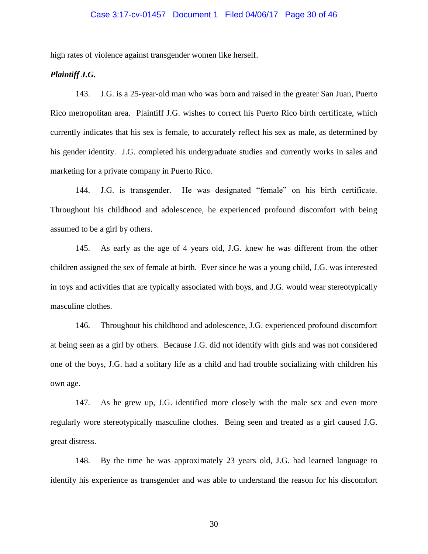### Case 3:17-cv-01457 Document 1 Filed 04/06/17 Page 30 of 46

high rates of violence against transgender women like herself.

# *Plaintiff J.G.*

143. J.G. is a 25-year-old man who was born and raised in the greater San Juan, Puerto Rico metropolitan area. Plaintiff J.G. wishes to correct his Puerto Rico birth certificate, which currently indicates that his sex is female, to accurately reflect his sex as male, as determined by his gender identity. J.G. completed his undergraduate studies and currently works in sales and marketing for a private company in Puerto Rico.

144. J.G. is transgender. He was designated "female" on his birth certificate. Throughout his childhood and adolescence, he experienced profound discomfort with being assumed to be a girl by others.

145. As early as the age of 4 years old, J.G. knew he was different from the other children assigned the sex of female at birth. Ever since he was a young child, J.G. was interested in toys and activities that are typically associated with boys, and J.G. would wear stereotypically masculine clothes.

146. Throughout his childhood and adolescence, J.G. experienced profound discomfort at being seen as a girl by others. Because J.G. did not identify with girls and was not considered one of the boys, J.G. had a solitary life as a child and had trouble socializing with children his own age.

147. As he grew up, J.G. identified more closely with the male sex and even more regularly wore stereotypically masculine clothes. Being seen and treated as a girl caused J.G. great distress.

148. By the time he was approximately 23 years old, J.G. had learned language to identify his experience as transgender and was able to understand the reason for his discomfort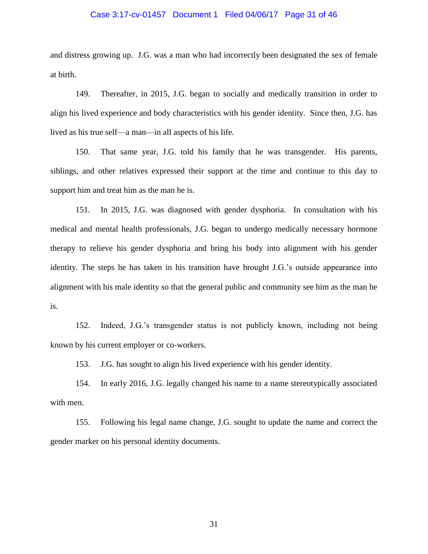#### Case 3:17-cv-01457 Document 1 Filed 04/06/17 Page 31 of 46

and distress growing up. J.G. was a man who had incorrectly been designated the sex of female at birth.

149. Thereafter, in 2015, J.G. began to socially and medically transition in order to align his lived experience and body characteristics with his gender identity. Since then, J.G. has lived as his true self—a man—in all aspects of his life.

150. That same year, J.G. told his family that he was transgender. His parents, siblings, and other relatives expressed their support at the time and continue to this day to support him and treat him as the man he is.

151. In 2015, J.G. was diagnosed with gender dysphoria. In consultation with his medical and mental health professionals, J.G. began to undergo medically necessary hormone therapy to relieve his gender dysphoria and bring his body into alignment with his gender identity. The steps he has taken in his transition have brought J.G.'s outside appearance into alignment with his male identity so that the general public and community see him as the man he is.

152. Indeed, J.G.'s transgender status is not publicly known, including not being known by his current employer or co-workers.

153. J.G. has sought to align his lived experience with his gender identity.

154. In early 2016, J.G. legally changed his name to a name stereotypically associated with men.

155. Following his legal name change, J.G. sought to update the name and correct the gender marker on his personal identity documents.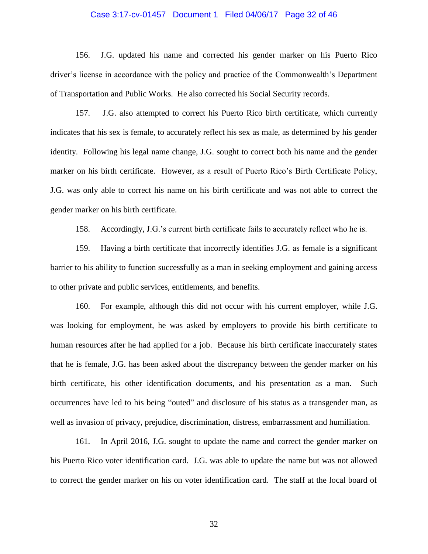#### Case 3:17-cv-01457 Document 1 Filed 04/06/17 Page 32 of 46

156. J.G. updated his name and corrected his gender marker on his Puerto Rico driver's license in accordance with the policy and practice of the Commonwealth's Department of Transportation and Public Works. He also corrected his Social Security records.

157. J.G. also attempted to correct his Puerto Rico birth certificate, which currently indicates that his sex is female, to accurately reflect his sex as male, as determined by his gender identity. Following his legal name change, J.G. sought to correct both his name and the gender marker on his birth certificate. However, as a result of Puerto Rico's Birth Certificate Policy, J.G. was only able to correct his name on his birth certificate and was not able to correct the gender marker on his birth certificate.

158. Accordingly, J.G.'s current birth certificate fails to accurately reflect who he is.

159. Having a birth certificate that incorrectly identifies J.G. as female is a significant barrier to his ability to function successfully as a man in seeking employment and gaining access to other private and public services, entitlements, and benefits.

160. For example, although this did not occur with his current employer, while J.G. was looking for employment, he was asked by employers to provide his birth certificate to human resources after he had applied for a job. Because his birth certificate inaccurately states that he is female, J.G. has been asked about the discrepancy between the gender marker on his birth certificate, his other identification documents, and his presentation as a man. Such occurrences have led to his being "outed" and disclosure of his status as a transgender man, as well as invasion of privacy, prejudice, discrimination, distress, embarrassment and humiliation.

161. In April 2016, J.G. sought to update the name and correct the gender marker on his Puerto Rico voter identification card. J.G. was able to update the name but was not allowed to correct the gender marker on his on voter identification card. The staff at the local board of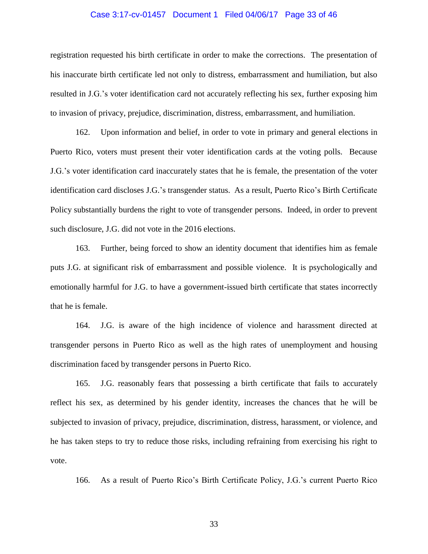#### Case 3:17-cv-01457 Document 1 Filed 04/06/17 Page 33 of 46

registration requested his birth certificate in order to make the corrections. The presentation of his inaccurate birth certificate led not only to distress, embarrassment and humiliation, but also resulted in J.G.'s voter identification card not accurately reflecting his sex, further exposing him to invasion of privacy, prejudice, discrimination, distress, embarrassment, and humiliation.

162. Upon information and belief, in order to vote in primary and general elections in Puerto Rico, voters must present their voter identification cards at the voting polls. Because J.G.'s voter identification card inaccurately states that he is female, the presentation of the voter identification card discloses J.G.'s transgender status. As a result, Puerto Rico's Birth Certificate Policy substantially burdens the right to vote of transgender persons. Indeed, in order to prevent such disclosure, J.G. did not vote in the 2016 elections.

163. Further, being forced to show an identity document that identifies him as female puts J.G. at significant risk of embarrassment and possible violence. It is psychologically and emotionally harmful for J.G. to have a government-issued birth certificate that states incorrectly that he is female.

164. J.G. is aware of the high incidence of violence and harassment directed at transgender persons in Puerto Rico as well as the high rates of unemployment and housing discrimination faced by transgender persons in Puerto Rico.

165. J.G. reasonably fears that possessing a birth certificate that fails to accurately reflect his sex, as determined by his gender identity, increases the chances that he will be subjected to invasion of privacy, prejudice, discrimination, distress, harassment, or violence, and he has taken steps to try to reduce those risks, including refraining from exercising his right to vote.

166. As a result of Puerto Rico's Birth Certificate Policy, J.G.'s current Puerto Rico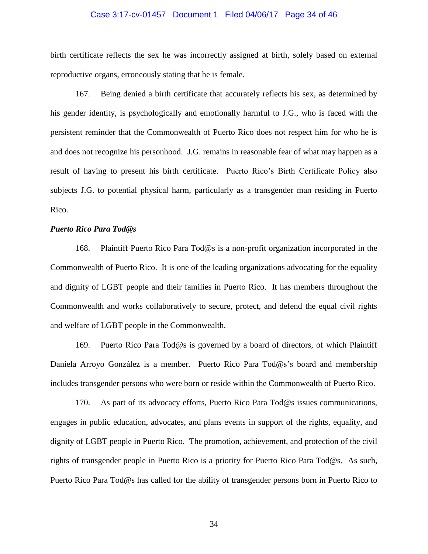#### Case 3:17-cv-01457 Document 1 Filed 04/06/17 Page 34 of 46

birth certificate reflects the sex he was incorrectly assigned at birth, solely based on external reproductive organs, erroneously stating that he is female.

167. Being denied a birth certificate that accurately reflects his sex, as determined by his gender identity, is psychologically and emotionally harmful to J.G., who is faced with the persistent reminder that the Commonwealth of Puerto Rico does not respect him for who he is and does not recognize his personhood. J.G. remains in reasonable fear of what may happen as a result of having to present his birth certificate. Puerto Rico's Birth Certificate Policy also subjects J.G. to potential physical harm, particularly as a transgender man residing in Puerto Rico.

### *Puerto Rico Para Tod@s*

168. Plaintiff Puerto Rico Para Tod@s is a non-profit organization incorporated in the Commonwealth of Puerto Rico. It is one of the leading organizations advocating for the equality and dignity of LGBT people and their families in Puerto Rico. It has members throughout the Commonwealth and works collaboratively to secure, protect, and defend the equal civil rights and welfare of LGBT people in the Commonwealth.

169. Puerto Rico Para Tod@s is governed by a board of directors, of which Plaintiff Daniela Arroyo González is a member. Puerto Rico Para Tod@s's board and membership includes transgender persons who were born or reside within the Commonwealth of Puerto Rico.

170. As part of its advocacy efforts, Puerto Rico Para Tod@s issues communications, engages in public education, advocates, and plans events in support of the rights, equality, and dignity of LGBT people in Puerto Rico. The promotion, achievement, and protection of the civil rights of transgender people in Puerto Rico is a priority for Puerto Rico Para Tod@s. As such, Puerto Rico Para Tod@s has called for the ability of transgender persons born in Puerto Rico to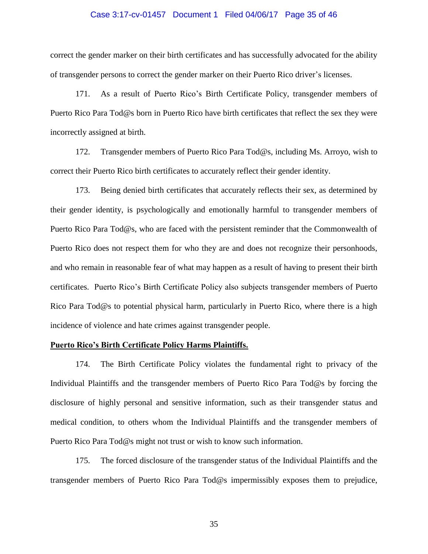#### Case 3:17-cv-01457 Document 1 Filed 04/06/17 Page 35 of 46

correct the gender marker on their birth certificates and has successfully advocated for the ability of transgender persons to correct the gender marker on their Puerto Rico driver's licenses.

171. As a result of Puerto Rico's Birth Certificate Policy, transgender members of Puerto Rico Para Tod@s born in Puerto Rico have birth certificates that reflect the sex they were incorrectly assigned at birth.

172. Transgender members of Puerto Rico Para Tod@s, including Ms. Arroyo, wish to correct their Puerto Rico birth certificates to accurately reflect their gender identity.

173. Being denied birth certificates that accurately reflects their sex, as determined by their gender identity, is psychologically and emotionally harmful to transgender members of Puerto Rico Para Tod@s, who are faced with the persistent reminder that the Commonwealth of Puerto Rico does not respect them for who they are and does not recognize their personhoods, and who remain in reasonable fear of what may happen as a result of having to present their birth certificates. Puerto Rico's Birth Certificate Policy also subjects transgender members of Puerto Rico Para Tod@s to potential physical harm, particularly in Puerto Rico, where there is a high incidence of violence and hate crimes against transgender people.

### **Puerto Rico's Birth Certificate Policy Harms Plaintiffs.**

174. The Birth Certificate Policy violates the fundamental right to privacy of the Individual Plaintiffs and the transgender members of Puerto Rico Para Tod@s by forcing the disclosure of highly personal and sensitive information, such as their transgender status and medical condition, to others whom the Individual Plaintiffs and the transgender members of Puerto Rico Para Tod@s might not trust or wish to know such information.

175. The forced disclosure of the transgender status of the Individual Plaintiffs and the transgender members of Puerto Rico Para Tod@s impermissibly exposes them to prejudice,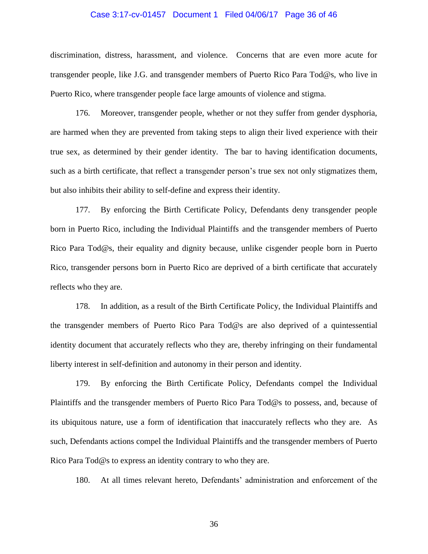#### Case 3:17-cv-01457 Document 1 Filed 04/06/17 Page 36 of 46

discrimination, distress, harassment, and violence. Concerns that are even more acute for transgender people, like J.G. and transgender members of Puerto Rico Para Tod@s, who live in Puerto Rico, where transgender people face large amounts of violence and stigma.

176. Moreover, transgender people, whether or not they suffer from gender dysphoria, are harmed when they are prevented from taking steps to align their lived experience with their true sex, as determined by their gender identity. The bar to having identification documents, such as a birth certificate, that reflect a transgender person's true sex not only stigmatizes them, but also inhibits their ability to self-define and express their identity.

177. By enforcing the Birth Certificate Policy, Defendants deny transgender people born in Puerto Rico, including the Individual Plaintiffs and the transgender members of Puerto Rico Para Tod@s, their equality and dignity because, unlike cisgender people born in Puerto Rico, transgender persons born in Puerto Rico are deprived of a birth certificate that accurately reflects who they are.

178. In addition, as a result of the Birth Certificate Policy, the Individual Plaintiffs and the transgender members of Puerto Rico Para Tod@s are also deprived of a quintessential identity document that accurately reflects who they are, thereby infringing on their fundamental liberty interest in self-definition and autonomy in their person and identity.

179. By enforcing the Birth Certificate Policy, Defendants compel the Individual Plaintiffs and the transgender members of Puerto Rico Para Tod@s to possess, and, because of its ubiquitous nature, use a form of identification that inaccurately reflects who they are. As such, Defendants actions compel the Individual Plaintiffs and the transgender members of Puerto Rico Para Tod@s to express an identity contrary to who they are.

180. At all times relevant hereto, Defendants' administration and enforcement of the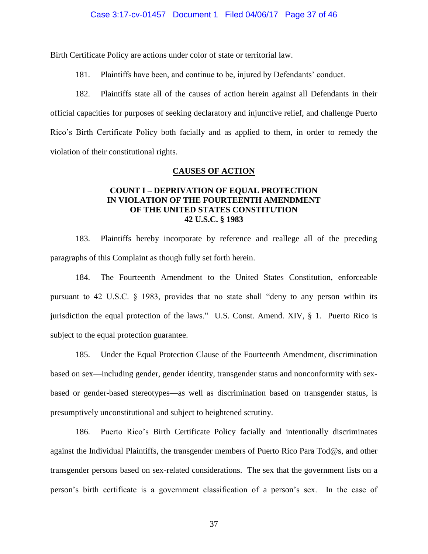### Case 3:17-cv-01457 Document 1 Filed 04/06/17 Page 37 of 46

Birth Certificate Policy are actions under color of state or territorial law.

181. Plaintiffs have been, and continue to be, injured by Defendants' conduct.

182. Plaintiffs state all of the causes of action herein against all Defendants in their official capacities for purposes of seeking declaratory and injunctive relief, and challenge Puerto Rico's Birth Certificate Policy both facially and as applied to them, in order to remedy the violation of their constitutional rights.

### **CAUSES OF ACTION**

# **COUNT I – DEPRIVATION OF EQUAL PROTECTION IN VIOLATION OF THE FOURTEENTH AMENDMENT OF THE UNITED STATES CONSTITUTION 42 U.S.C. § 1983**

183. Plaintiffs hereby incorporate by reference and reallege all of the preceding paragraphs of this Complaint as though fully set forth herein.

184. The Fourteenth Amendment to the United States Constitution, enforceable pursuant to 42 U.S.C. § 1983, provides that no state shall "deny to any person within its jurisdiction the equal protection of the laws." U.S. Const. Amend. XIV, § 1. Puerto Rico is subject to the equal protection guarantee.

185. Under the Equal Protection Clause of the Fourteenth Amendment, discrimination based on sex—including gender, gender identity, transgender status and nonconformity with sexbased or gender-based stereotypes—as well as discrimination based on transgender status, is presumptively unconstitutional and subject to heightened scrutiny.

186. Puerto Rico's Birth Certificate Policy facially and intentionally discriminates against the Individual Plaintiffs, the transgender members of Puerto Rico Para Tod@s, and other transgender persons based on sex-related considerations. The sex that the government lists on a person's birth certificate is a government classification of a person's sex. In the case of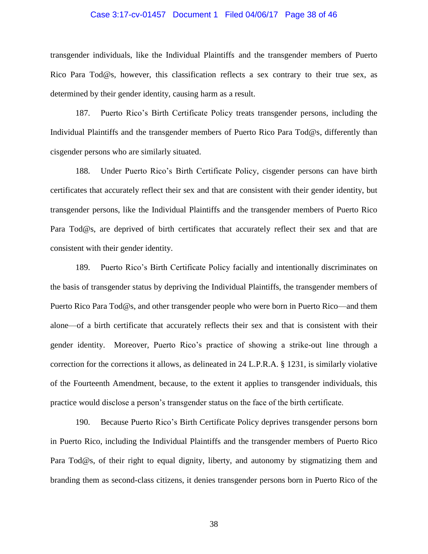#### Case 3:17-cv-01457 Document 1 Filed 04/06/17 Page 38 of 46

transgender individuals, like the Individual Plaintiffs and the transgender members of Puerto Rico Para Tod@s, however, this classification reflects a sex contrary to their true sex, as determined by their gender identity, causing harm as a result.

187. Puerto Rico's Birth Certificate Policy treats transgender persons, including the Individual Plaintiffs and the transgender members of Puerto Rico Para Tod@s, differently than cisgender persons who are similarly situated.

188. Under Puerto Rico's Birth Certificate Policy, cisgender persons can have birth certificates that accurately reflect their sex and that are consistent with their gender identity, but transgender persons, like the Individual Plaintiffs and the transgender members of Puerto Rico Para Tod@s, are deprived of birth certificates that accurately reflect their sex and that are consistent with their gender identity.

189. Puerto Rico's Birth Certificate Policy facially and intentionally discriminates on the basis of transgender status by depriving the Individual Plaintiffs, the transgender members of Puerto Rico Para Tod@s, and other transgender people who were born in Puerto Rico—and them alone—of a birth certificate that accurately reflects their sex and that is consistent with their gender identity. Moreover, Puerto Rico's practice of showing a strike-out line through a correction for the corrections it allows, as delineated in 24 L.P.R.A. § 1231, is similarly violative of the Fourteenth Amendment, because, to the extent it applies to transgender individuals, this practice would disclose a person's transgender status on the face of the birth certificate.

190. Because Puerto Rico's Birth Certificate Policy deprives transgender persons born in Puerto Rico, including the Individual Plaintiffs and the transgender members of Puerto Rico Para Tod@s, of their right to equal dignity, liberty, and autonomy by stigmatizing them and branding them as second-class citizens, it denies transgender persons born in Puerto Rico of the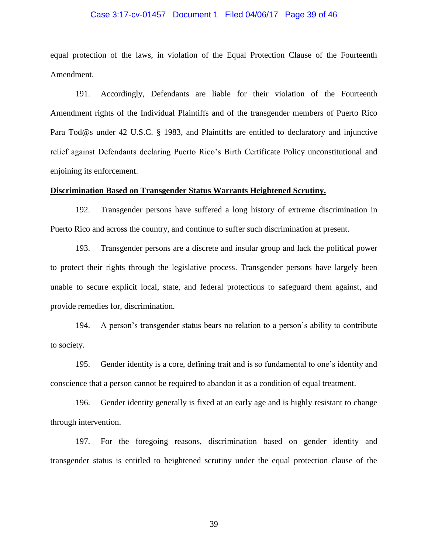#### Case 3:17-cv-01457 Document 1 Filed 04/06/17 Page 39 of 46

equal protection of the laws, in violation of the Equal Protection Clause of the Fourteenth Amendment.

191. Accordingly, Defendants are liable for their violation of the Fourteenth Amendment rights of the Individual Plaintiffs and of the transgender members of Puerto Rico Para Tod@s under 42 U.S.C. § 1983, and Plaintiffs are entitled to declaratory and injunctive relief against Defendants declaring Puerto Rico's Birth Certificate Policy unconstitutional and enjoining its enforcement.

#### **Discrimination Based on Transgender Status Warrants Heightened Scrutiny.**

192. Transgender persons have suffered a long history of extreme discrimination in Puerto Rico and across the country, and continue to suffer such discrimination at present.

193. Transgender persons are a discrete and insular group and lack the political power to protect their rights through the legislative process. Transgender persons have largely been unable to secure explicit local, state, and federal protections to safeguard them against, and provide remedies for, discrimination.

194. A person's transgender status bears no relation to a person's ability to contribute to society.

195. Gender identity is a core, defining trait and is so fundamental to one's identity and conscience that a person cannot be required to abandon it as a condition of equal treatment.

196. Gender identity generally is fixed at an early age and is highly resistant to change through intervention.

197. For the foregoing reasons, discrimination based on gender identity and transgender status is entitled to heightened scrutiny under the equal protection clause of the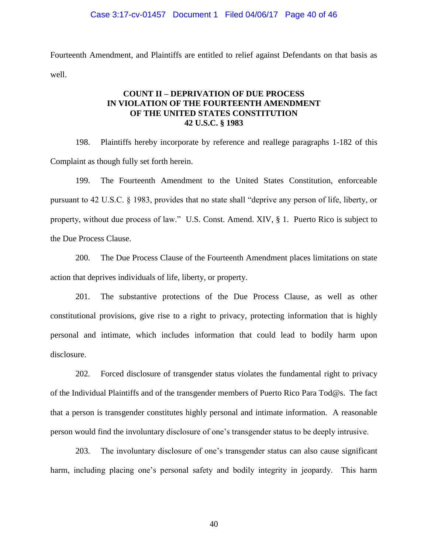Fourteenth Amendment, and Plaintiffs are entitled to relief against Defendants on that basis as well.

# **COUNT II – DEPRIVATION OF DUE PROCESS IN VIOLATION OF THE FOURTEENTH AMENDMENT OF THE UNITED STATES CONSTITUTION 42 U.S.C. § 1983**

198. Plaintiffs hereby incorporate by reference and reallege paragraphs 1-182 of this Complaint as though fully set forth herein.

199. The Fourteenth Amendment to the United States Constitution, enforceable pursuant to 42 U.S.C. § 1983, provides that no state shall "deprive any person of life, liberty, or property, without due process of law." U.S. Const. Amend. XIV, § 1. Puerto Rico is subject to the Due Process Clause.

200. The Due Process Clause of the Fourteenth Amendment places limitations on state action that deprives individuals of life, liberty, or property.

201. The substantive protections of the Due Process Clause, as well as other constitutional provisions, give rise to a right to privacy, protecting information that is highly personal and intimate, which includes information that could lead to bodily harm upon disclosure.

202. Forced disclosure of transgender status violates the fundamental right to privacy of the Individual Plaintiffs and of the transgender members of Puerto Rico Para Tod@s. The fact that a person is transgender constitutes highly personal and intimate information. A reasonable person would find the involuntary disclosure of one's transgender status to be deeply intrusive.

203. The involuntary disclosure of one's transgender status can also cause significant harm, including placing one's personal safety and bodily integrity in jeopardy. This harm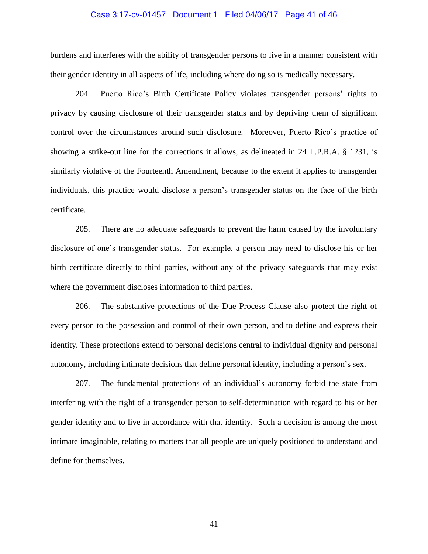#### Case 3:17-cv-01457 Document 1 Filed 04/06/17 Page 41 of 46

burdens and interferes with the ability of transgender persons to live in a manner consistent with their gender identity in all aspects of life, including where doing so is medically necessary.

204. Puerto Rico's Birth Certificate Policy violates transgender persons' rights to privacy by causing disclosure of their transgender status and by depriving them of significant control over the circumstances around such disclosure. Moreover, Puerto Rico's practice of showing a strike-out line for the corrections it allows, as delineated in 24 L.P.R.A. § 1231, is similarly violative of the Fourteenth Amendment, because to the extent it applies to transgender individuals, this practice would disclose a person's transgender status on the face of the birth certificate.

205. There are no adequate safeguards to prevent the harm caused by the involuntary disclosure of one's transgender status. For example, a person may need to disclose his or her birth certificate directly to third parties, without any of the privacy safeguards that may exist where the government discloses information to third parties.

206. The substantive protections of the Due Process Clause also protect the right of every person to the possession and control of their own person, and to define and express their identity. These protections extend to personal decisions central to individual dignity and personal autonomy, including intimate decisions that define personal identity, including a person's sex.

207. The fundamental protections of an individual's autonomy forbid the state from interfering with the right of a transgender person to self-determination with regard to his or her gender identity and to live in accordance with that identity. Such a decision is among the most intimate imaginable, relating to matters that all people are uniquely positioned to understand and define for themselves.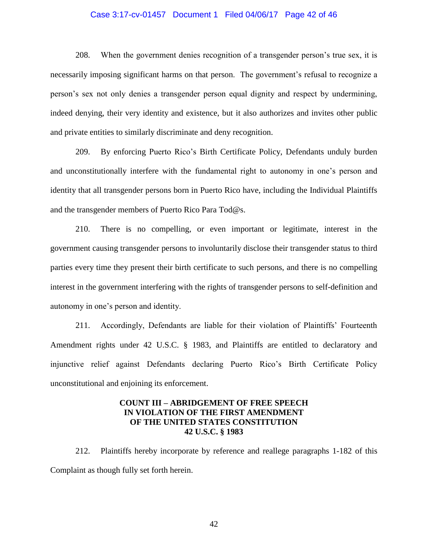### Case 3:17-cv-01457 Document 1 Filed 04/06/17 Page 42 of 46

208. When the government denies recognition of a transgender person's true sex, it is necessarily imposing significant harms on that person. The government's refusal to recognize a person's sex not only denies a transgender person equal dignity and respect by undermining, indeed denying, their very identity and existence, but it also authorizes and invites other public and private entities to similarly discriminate and deny recognition.

209. By enforcing Puerto Rico's Birth Certificate Policy, Defendants unduly burden and unconstitutionally interfere with the fundamental right to autonomy in one's person and identity that all transgender persons born in Puerto Rico have, including the Individual Plaintiffs and the transgender members of Puerto Rico Para Tod@s.

210. There is no compelling, or even important or legitimate, interest in the government causing transgender persons to involuntarily disclose their transgender status to third parties every time they present their birth certificate to such persons, and there is no compelling interest in the government interfering with the rights of transgender persons to self-definition and autonomy in one's person and identity.

211. Accordingly, Defendants are liable for their violation of Plaintiffs' Fourteenth Amendment rights under 42 U.S.C. § 1983, and Plaintiffs are entitled to declaratory and injunctive relief against Defendants declaring Puerto Rico's Birth Certificate Policy unconstitutional and enjoining its enforcement.

# **COUNT III – ABRIDGEMENT OF FREE SPEECH IN VIOLATION OF THE FIRST AMENDMENT OF THE UNITED STATES CONSTITUTION 42 U.S.C. § 1983**

212. Plaintiffs hereby incorporate by reference and reallege paragraphs 1-182 of this Complaint as though fully set forth herein.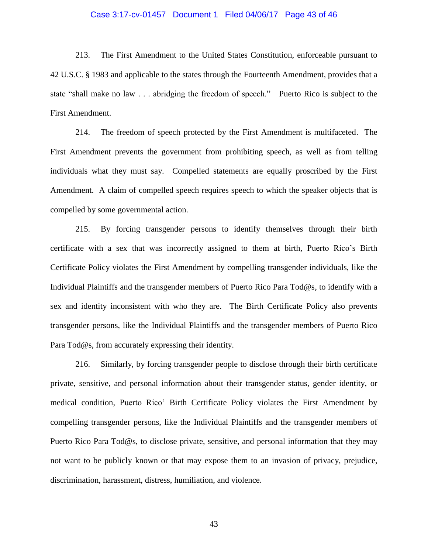#### Case 3:17-cv-01457 Document 1 Filed 04/06/17 Page 43 of 46

213. The First Amendment to the United States Constitution, enforceable pursuant to 42 U.S.C. § 1983 and applicable to the states through the Fourteenth Amendment, provides that a state "shall make no law . . . abridging the freedom of speech." Puerto Rico is subject to the First Amendment.

214. The freedom of speech protected by the First Amendment is multifaceted. The First Amendment prevents the government from prohibiting speech, as well as from telling individuals what they must say. Compelled statements are equally proscribed by the First Amendment. A claim of compelled speech requires speech to which the speaker objects that is compelled by some governmental action.

215. By forcing transgender persons to identify themselves through their birth certificate with a sex that was incorrectly assigned to them at birth, Puerto Rico's Birth Certificate Policy violates the First Amendment by compelling transgender individuals, like the Individual Plaintiffs and the transgender members of Puerto Rico Para Tod@s, to identify with a sex and identity inconsistent with who they are. The Birth Certificate Policy also prevents transgender persons, like the Individual Plaintiffs and the transgender members of Puerto Rico Para Tod@s, from accurately expressing their identity.

216. Similarly, by forcing transgender people to disclose through their birth certificate private, sensitive, and personal information about their transgender status, gender identity, or medical condition, Puerto Rico' Birth Certificate Policy violates the First Amendment by compelling transgender persons, like the Individual Plaintiffs and the transgender members of Puerto Rico Para Tod@s, to disclose private, sensitive, and personal information that they may not want to be publicly known or that may expose them to an invasion of privacy, prejudice, discrimination, harassment, distress, humiliation, and violence.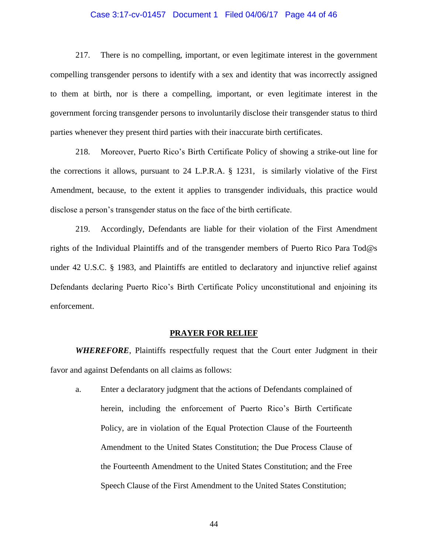#### Case 3:17-cv-01457 Document 1 Filed 04/06/17 Page 44 of 46

217. There is no compelling, important, or even legitimate interest in the government compelling transgender persons to identify with a sex and identity that was incorrectly assigned to them at birth, nor is there a compelling, important, or even legitimate interest in the government forcing transgender persons to involuntarily disclose their transgender status to third parties whenever they present third parties with their inaccurate birth certificates.

218. Moreover, Puerto Rico's Birth Certificate Policy of showing a strike-out line for the corrections it allows, pursuant to 24 L.P.R.A. § 1231, is similarly violative of the First Amendment, because, to the extent it applies to transgender individuals, this practice would disclose a person's transgender status on the face of the birth certificate.

219. Accordingly, Defendants are liable for their violation of the First Amendment rights of the Individual Plaintiffs and of the transgender members of Puerto Rico Para Tod@s under 42 U.S.C. § 1983, and Plaintiffs are entitled to declaratory and injunctive relief against Defendants declaring Puerto Rico's Birth Certificate Policy unconstitutional and enjoining its enforcement.

#### **PRAYER FOR RELIEF**

*WHEREFORE*, Plaintiffs respectfully request that the Court enter Judgment in their favor and against Defendants on all claims as follows:

a. Enter a declaratory judgment that the actions of Defendants complained of herein, including the enforcement of Puerto Rico's Birth Certificate Policy, are in violation of the Equal Protection Clause of the Fourteenth Amendment to the United States Constitution; the Due Process Clause of the Fourteenth Amendment to the United States Constitution; and the Free Speech Clause of the First Amendment to the United States Constitution;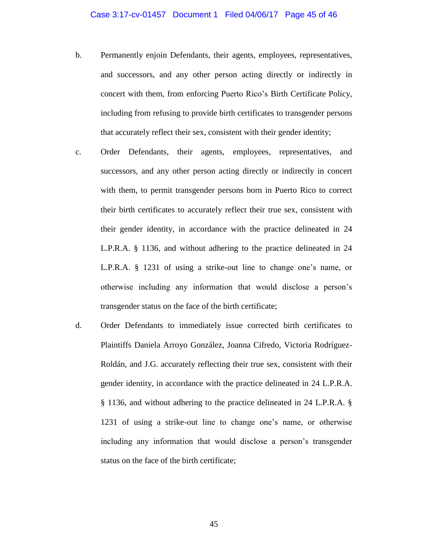- b. Permanently enjoin Defendants, their agents, employees, representatives, and successors, and any other person acting directly or indirectly in concert with them, from enforcing Puerto Rico's Birth Certificate Policy, including from refusing to provide birth certificates to transgender persons that accurately reflect their sex, consistent with their gender identity;
- c. Order Defendants, their agents, employees, representatives, and successors, and any other person acting directly or indirectly in concert with them, to permit transgender persons born in Puerto Rico to correct their birth certificates to accurately reflect their true sex, consistent with their gender identity, in accordance with the practice delineated in 24 L.P.R.A. § 1136, and without adhering to the practice delineated in 24 L.P.R.A. § 1231 of using a strike-out line to change one's name, or otherwise including any information that would disclose a person's transgender status on the face of the birth certificate;
- d. Order Defendants to immediately issue corrected birth certificates to Plaintiffs Daniela Arroyo González, Joanna Cifredo, Victoria Rodríguez-Roldán, and J.G. accurately reflecting their true sex, consistent with their gender identity, in accordance with the practice delineated in 24 L.P.R.A. § 1136, and without adhering to the practice delineated in 24 L.P.R.A. § 1231 of using a strike-out line to change one's name, or otherwise including any information that would disclose a person's transgender status on the face of the birth certificate;